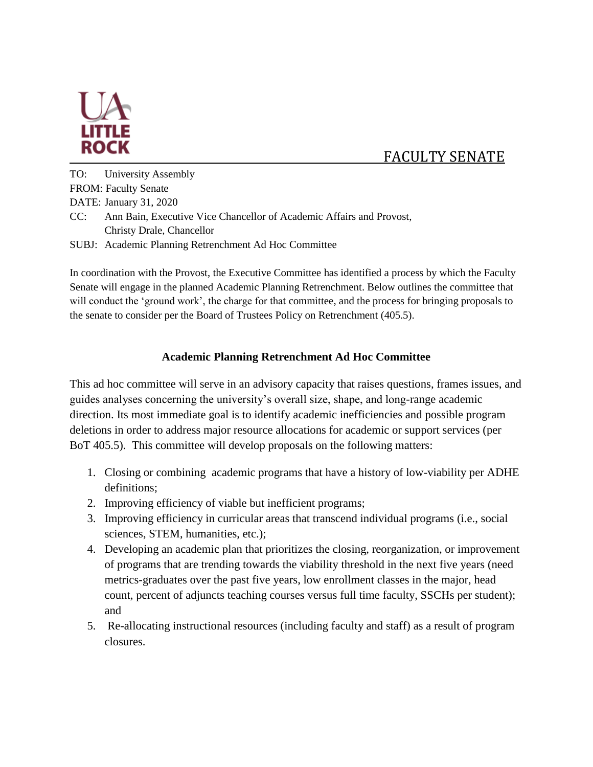

## FACULTY SENATE

TO: University Assembly FROM: Faculty Senate DATE: January 31, 2020 CC: Ann Bain, Executive Vice Chancellor of Academic Affairs and Provost, Christy Drale, Chancellor

SUBJ: Academic Planning Retrenchment Ad Hoc Committee

In coordination with the Provost, the Executive Committee has identified a process by which the Faculty Senate will engage in the planned Academic Planning Retrenchment. Below outlines the committee that will conduct the 'ground work', the charge for that committee, and the process for bringing proposals to the senate to consider per the Board of Trustees Policy on Retrenchment (405.5).

## **Academic Planning Retrenchment Ad Hoc Committee**

This ad hoc committee will serve in an advisory capacity that raises questions, frames issues, and guides analyses concerning the university's overall size, shape, and long-range academic direction. Its most immediate goal is to identify academic inefficiencies and possible program deletions in order to address major resource allocations for academic or support services (per BoT 405.5). This committee will develop proposals on the following matters:

- 1. Closing or combining academic programs that have a history of low-viability per ADHE definitions;
- 2. Improving efficiency of viable but inefficient programs;
- 3. Improving efficiency in curricular areas that transcend individual programs (i.e., social sciences, STEM, humanities, etc.);
- 4. Developing an academic plan that prioritizes the closing, reorganization, or improvement of programs that are trending towards the viability threshold in the next five years (need metrics-graduates over the past five years, low enrollment classes in the major, head count, percent of adjuncts teaching courses versus full time faculty, SSCHs per student); and
- 5. Re-allocating instructional resources (including faculty and staff) as a result of program closures.